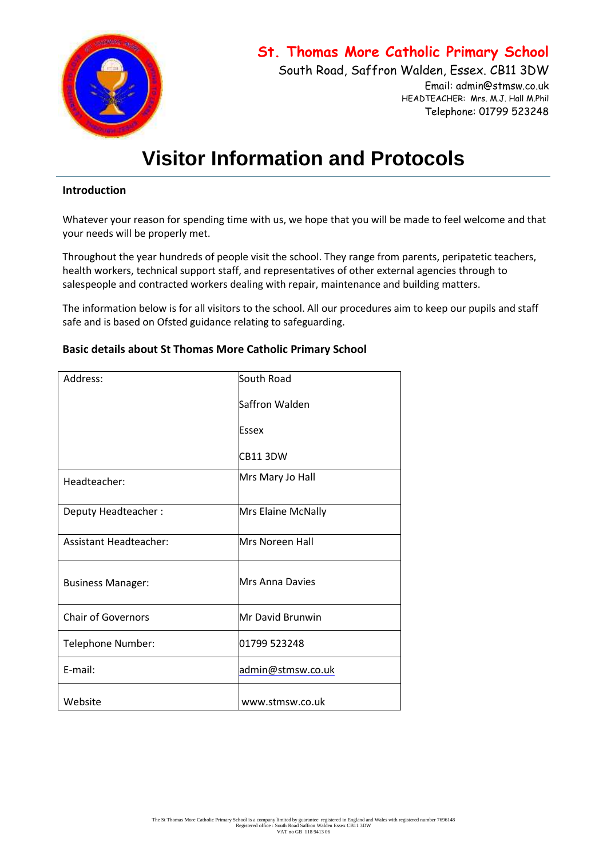

# **St. Thomas More Catholic Primary School**

South Road, Saffron Walden, Essex. CB11 3DW Email: admin@stmsw.co.uk HEADTEACHER: Mrs. M.J. Hall M.Phil

Telephone: 01799 523248

# **Visitor Information and Protocols**

#### **Introduction**

Whatever your reason for spending time with us, we hope that you will be made to feel welcome and that your needs will be properly met.

Throughout the year hundreds of people visit the school. They range from parents, peripatetic teachers, health workers, technical support staff, and representatives of other external agencies through to salespeople and contracted workers dealing with repair, maintenance and building matters.

The information below is for all visitors to the school. All our procedures aim to keep our pupils and staff safe and is based on Ofsted guidance relating to safeguarding.

## **Basic details about St Thomas More Catholic Primary School**

| Address:                      | South Road             |
|-------------------------------|------------------------|
|                               | Saffron Walden         |
|                               | Essex                  |
|                               | CB113DW                |
| Headteacher:                  | Mrs Mary Jo Hall       |
| Deputy Headteacher:           | Mrs Elaine McNally     |
| <b>Assistant Headteacher:</b> | <b>Mrs Noreen Hall</b> |
| <b>Business Manager:</b>      | <b>Mrs Anna Davies</b> |
| <b>Chair of Governors</b>     | Mr David Brunwin       |
| Telephone Number:             | 01799 523248           |
| E-mail:                       | admin@stmsw.co.uk      |
| Website                       | www.stmsw.co.uk        |